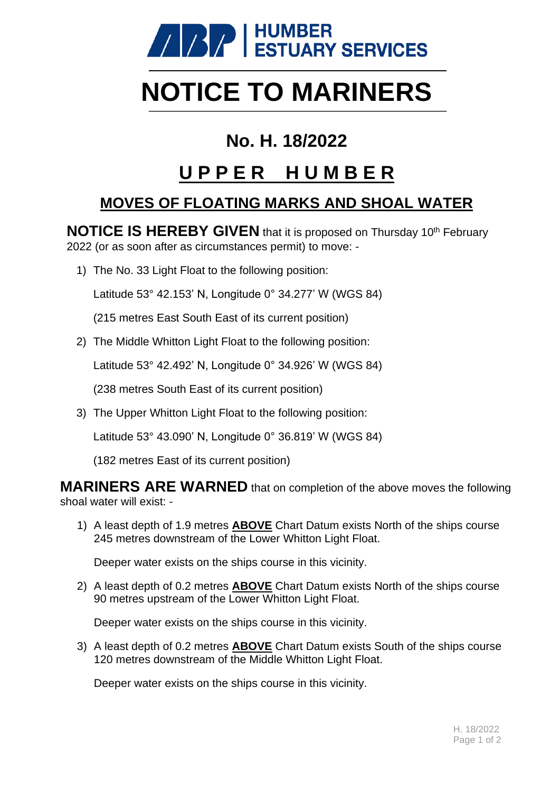

# **NOTICE TO MARINERS**

### **No. H. 18/2022**

## **U P P E R H U M B E R**

#### **MOVES OF FLOATING MARKS AND SHOAL WATER**

**NOTICE IS HEREBY GIVEN** that it is proposed on Thursday 10<sup>th</sup> February 2022 (or as soon after as circumstances permit) to move: -

1) The No. 33 Light Float to the following position:

Latitude 53° 42.153' N, Longitude 0° 34.277' W (WGS 84)

(215 metres East South East of its current position)

2) The Middle Whitton Light Float to the following position:

Latitude 53° 42.492' N, Longitude 0° 34.926' W (WGS 84)

(238 metres South East of its current position)

3) The Upper Whitton Light Float to the following position:

Latitude 53° 43.090' N, Longitude 0° 36.819' W (WGS 84)

(182 metres East of its current position)

**MARINERS ARE WARNED** that on completion of the above moves the following shoal water will exist: -

1) A least depth of 1.9 metres **ABOVE** Chart Datum exists North of the ships course 245 metres downstream of the Lower Whitton Light Float.

Deeper water exists on the ships course in this vicinity.

2) A least depth of 0.2 metres **ABOVE** Chart Datum exists North of the ships course 90 metres upstream of the Lower Whitton Light Float.

Deeper water exists on the ships course in this vicinity.

3) A least depth of 0.2 metres **ABOVE** Chart Datum exists South of the ships course 120 metres downstream of the Middle Whitton Light Float.

Deeper water exists on the ships course in this vicinity.